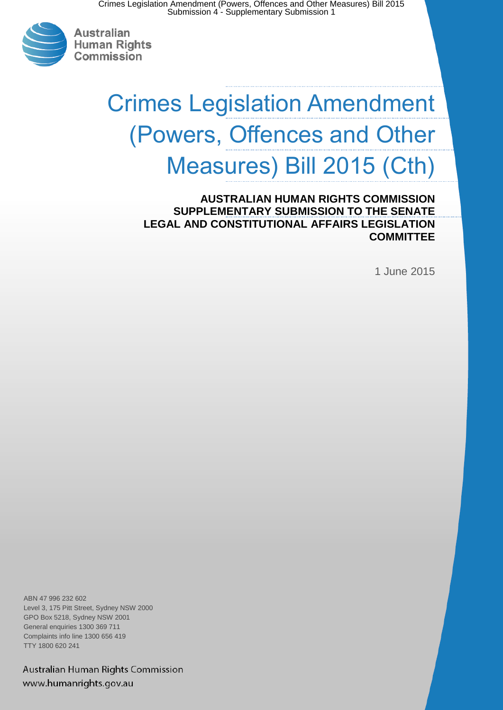

# Crimes Legislation Amendment (Powers, Offences and Other Measures) Bill 2015 (Cth)

**AUSTRALIAN HUMAN RIGHTS COMMISSION SUPPLEMENTARY SUBMISSION TO THE SENATE LEGAL AND CONSTITUTIONAL AFFAIRS LEGISLATION COMMITTEE**

1 June 2015

ABN 47 996 232 602 Level 3, 175 Pitt Street, Sydney NSW 2000 GPO Box 5218, Sydney NSW 2001 General enquiries 1300 369 711 Complaints info line 1300 656 419 TTY 1800 620 241

Australian Human Rights Commission www.humanrights.gov.au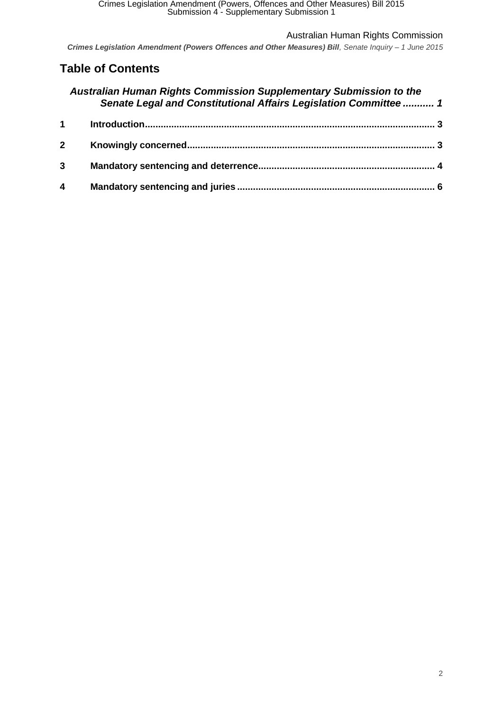*Crimes Legislation Amendment (Powers Offences and Other Measures) Bill, Senate Inquiry – 1 June 2015*

## **Table of Contents**

|             | Australian Human Rights Commission Supplementary Submission to the<br>Senate Legal and Constitutional Affairs Legislation Committee  1 |  |
|-------------|----------------------------------------------------------------------------------------------------------------------------------------|--|
|             | $\mathbf 1$                                                                                                                            |  |
| $\mathbf 2$ |                                                                                                                                        |  |
| 3           |                                                                                                                                        |  |
| 4           |                                                                                                                                        |  |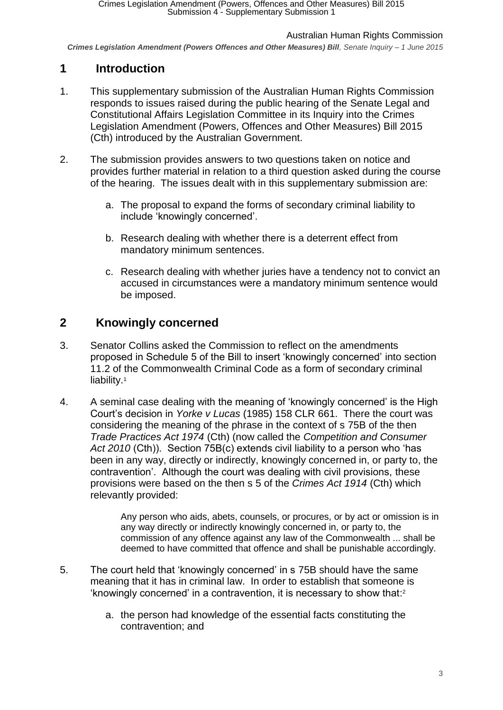*Crimes Legislation Amendment (Powers Offences and Other Measures) Bill, Senate Inquiry – 1 June 2015*

## <span id="page-2-0"></span>**1 Introduction**

- 1. This supplementary submission of the Australian Human Rights Commission responds to issues raised during the public hearing of the Senate Legal and Constitutional Affairs Legislation Committee in its Inquiry into the Crimes Legislation Amendment (Powers, Offences and Other Measures) Bill 2015 (Cth) introduced by the Australian Government.
- 2. The submission provides answers to two questions taken on notice and provides further material in relation to a third question asked during the course of the hearing. The issues dealt with in this supplementary submission are:
	- a. The proposal to expand the forms of secondary criminal liability to include 'knowingly concerned'.
	- b. Research dealing with whether there is a deterrent effect from mandatory minimum sentences.
	- c. Research dealing with whether juries have a tendency not to convict an accused in circumstances were a mandatory minimum sentence would be imposed.

## <span id="page-2-1"></span>**2 Knowingly concerned**

- 3. Senator Collins asked the Commission to reflect on the amendments proposed in Schedule 5 of the Bill to insert 'knowingly concerned' into section 11.2 of the Commonwealth Criminal Code as a form of secondary criminal liability.<sup>1</sup>
- 4. A seminal case dealing with the meaning of 'knowingly concerned' is the High Court's decision in *Yorke v Lucas* (1985) 158 CLR 661. There the court was considering the meaning of the phrase in the context of s 75B of the then *Trade Practices Act 1974* (Cth) (now called the *Competition and Consumer Act 2010* (Cth)). Section 75B(c) extends civil liability to a person who 'has been in any way, directly or indirectly, knowingly concerned in, or party to, the contravention'. Although the court was dealing with civil provisions, these provisions were based on the then s 5 of the *Crimes Act 1914* (Cth) which relevantly provided:

Any person who aids, abets, counsels, or procures, or by act or omission is in any way directly or indirectly knowingly concerned in, or party to, the commission of any offence against any law of the Commonwealth ... shall be deemed to have committed that offence and shall be punishable accordingly.

- 5. The court held that 'knowingly concerned' in s 75B should have the same meaning that it has in criminal law. In order to establish that someone is 'knowingly concerned' in a contravention, it is necessary to show that: 2
	- a. the person had knowledge of the essential facts constituting the contravention; and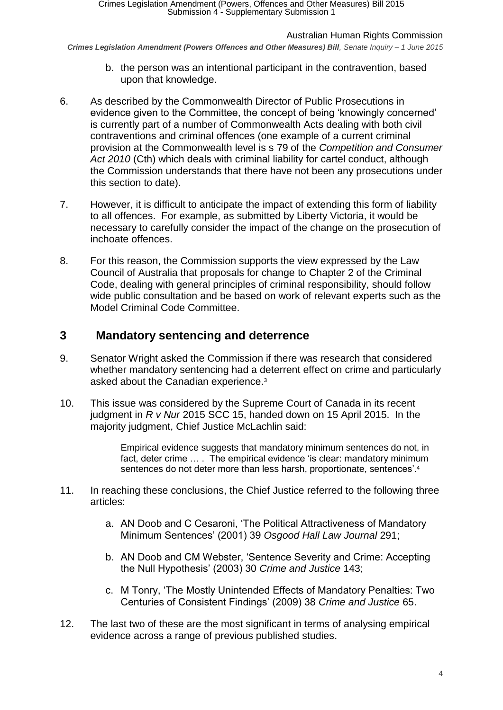*Crimes Legislation Amendment (Powers Offences and Other Measures) Bill, Senate Inquiry – 1 June 2015*

- b. the person was an intentional participant in the contravention, based upon that knowledge.
- 6. As described by the Commonwealth Director of Public Prosecutions in evidence given to the Committee, the concept of being 'knowingly concerned' is currently part of a number of Commonwealth Acts dealing with both civil contraventions and criminal offences (one example of a current criminal provision at the Commonwealth level is s 79 of the *Competition and Consumer Act 2010* (Cth) which deals with criminal liability for cartel conduct, although the Commission understands that there have not been any prosecutions under this section to date).
- 7. However, it is difficult to anticipate the impact of extending this form of liability to all offences. For example, as submitted by Liberty Victoria, it would be necessary to carefully consider the impact of the change on the prosecution of inchoate offences.
- 8. For this reason, the Commission supports the view expressed by the Law Council of Australia that proposals for change to Chapter 2 of the Criminal Code, dealing with general principles of criminal responsibility, should follow wide public consultation and be based on work of relevant experts such as the Model Criminal Code Committee.

## <span id="page-3-0"></span>**3 Mandatory sentencing and deterrence**

- 9. Senator Wright asked the Commission if there was research that considered whether mandatory sentencing had a deterrent effect on crime and particularly asked about the Canadian experience.<sup>3</sup>
- 10. This issue was considered by the Supreme Court of Canada in its recent judgment in *R v Nur* 2015 SCC 15, handed down on 15 April 2015. In the majority judgment, Chief Justice McLachlin said:

Empirical evidence suggests that mandatory minimum sentences do not, in fact, deter crime … . The empirical evidence 'is clear: mandatory minimum sentences do not deter more than less harsh, proportionate, sentences'.<sup>4</sup>

- 11. In reaching these conclusions, the Chief Justice referred to the following three articles:
	- a. AN Doob and C Cesaroni, 'The Political Attractiveness of Mandatory Minimum Sentences' (2001) 39 *Osgood Hall Law Journal* 291;
	- b. AN Doob and CM Webster, 'Sentence Severity and Crime: Accepting the Null Hypothesis' (2003) 30 *Crime and Justice* 143;
	- c. M Tonry, 'The Mostly Unintended Effects of Mandatory Penalties: Two Centuries of Consistent Findings' (2009) 38 *Crime and Justice* 65.
- 12. The last two of these are the most significant in terms of analysing empirical evidence across a range of previous published studies.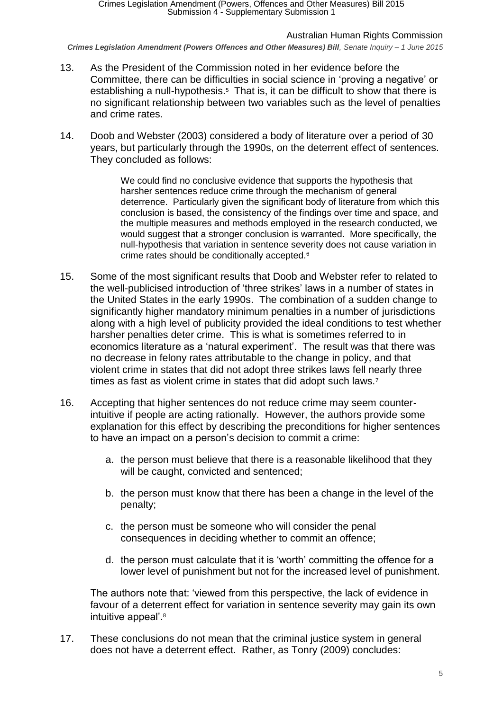*Crimes Legislation Amendment (Powers Offences and Other Measures) Bill, Senate Inquiry – 1 June 2015*

- 13. As the President of the Commission noted in her evidence before the Committee, there can be difficulties in social science in 'proving a negative' or establishing a null-hypothesis.<sup>5</sup> That is, it can be difficult to show that there is no significant relationship between two variables such as the level of penalties and crime rates.
- 14. Doob and Webster (2003) considered a body of literature over a period of 30 years, but particularly through the 1990s, on the deterrent effect of sentences. They concluded as follows:

We could find no conclusive evidence that supports the hypothesis that harsher sentences reduce crime through the mechanism of general deterrence. Particularly given the significant body of literature from which this conclusion is based, the consistency of the findings over time and space, and the multiple measures and methods employed in the research conducted, we would suggest that a stronger conclusion is warranted. More specifically, the null-hypothesis that variation in sentence severity does not cause variation in crime rates should be conditionally accepted.<sup>6</sup>

- 15. Some of the most significant results that Doob and Webster refer to related to the well-publicised introduction of 'three strikes' laws in a number of states in the United States in the early 1990s. The combination of a sudden change to significantly higher mandatory minimum penalties in a number of jurisdictions along with a high level of publicity provided the ideal conditions to test whether harsher penalties deter crime. This is what is sometimes referred to in economics literature as a 'natural experiment'. The result was that there was no decrease in felony rates attributable to the change in policy, and that violent crime in states that did not adopt three strikes laws fell nearly three times as fast as violent crime in states that did adopt such laws.<sup>7</sup>
- 16. Accepting that higher sentences do not reduce crime may seem counterintuitive if people are acting rationally. However, the authors provide some explanation for this effect by describing the preconditions for higher sentences to have an impact on a person's decision to commit a crime:
	- a. the person must believe that there is a reasonable likelihood that they will be caught, convicted and sentenced;
	- b. the person must know that there has been a change in the level of the penalty;
	- c. the person must be someone who will consider the penal consequences in deciding whether to commit an offence;
	- d. the person must calculate that it is 'worth' committing the offence for a lower level of punishment but not for the increased level of punishment.

The authors note that: 'viewed from this perspective, the lack of evidence in favour of a deterrent effect for variation in sentence severity may gain its own intuitive appeal'.<sup>8</sup>

17. These conclusions do not mean that the criminal justice system in general does not have a deterrent effect. Rather, as Tonry (2009) concludes: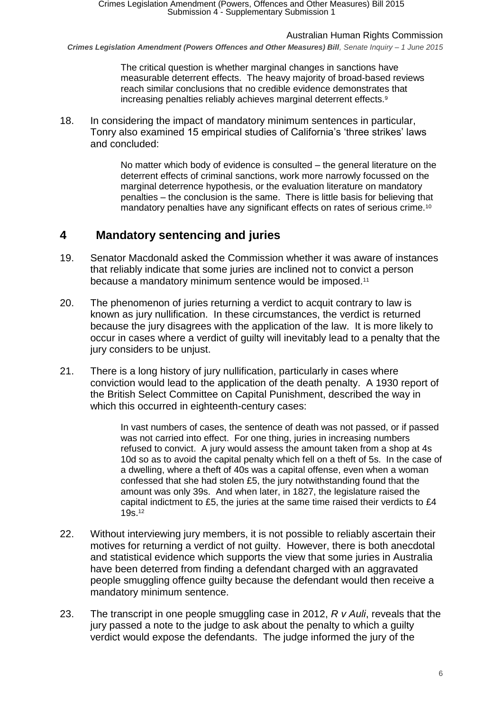*Crimes Legislation Amendment (Powers Offences and Other Measures) Bill, Senate Inquiry – 1 June 2015*

The critical question is whether marginal changes in sanctions have measurable deterrent effects. The heavy majority of broad-based reviews reach similar conclusions that no credible evidence demonstrates that increasing penalties reliably achieves marginal deterrent effects.<sup>9</sup>

18. In considering the impact of mandatory minimum sentences in particular, Tonry also examined 15 empirical studies of California's 'three strikes' laws and concluded:

> No matter which body of evidence is consulted – the general literature on the deterrent effects of criminal sanctions, work more narrowly focussed on the marginal deterrence hypothesis, or the evaluation literature on mandatory penalties – the conclusion is the same. There is little basis for believing that mandatory penalties have any significant effects on rates of serious crime.<sup>10</sup>

## <span id="page-5-0"></span>**4 Mandatory sentencing and juries**

- 19. Senator Macdonald asked the Commission whether it was aware of instances that reliably indicate that some juries are inclined not to convict a person because a mandatory minimum sentence would be imposed.<sup>11</sup>
- 20. The phenomenon of juries returning a verdict to acquit contrary to law is known as jury nullification. In these circumstances, the verdict is returned because the jury disagrees with the application of the law. It is more likely to occur in cases where a verdict of guilty will inevitably lead to a penalty that the jury considers to be unjust.
- 21. There is a long history of jury nullification, particularly in cases where conviction would lead to the application of the death penalty. A 1930 report of the British Select Committee on Capital Punishment, described the way in which this occurred in eighteenth-century cases:

In vast numbers of cases, the sentence of death was not passed, or if passed was not carried into effect. For one thing, juries in increasing numbers refused to convict. A jury would assess the amount taken from a shop at 4s 10d so as to avoid the capital penalty which fell on a theft of 5s. In the case of a dwelling, where a theft of 40s was a capital offense, even when a woman confessed that she had stolen £5, the jury notwithstanding found that the amount was only 39s. And when later, in 1827, the legislature raised the capital indictment to £5, the juries at the same time raised their verdicts to £4 19s.<sup>12</sup>

- 22. Without interviewing jury members, it is not possible to reliably ascertain their motives for returning a verdict of not guilty. However, there is both anecdotal and statistical evidence which supports the view that some juries in Australia have been deterred from finding a defendant charged with an aggravated people smuggling offence guilty because the defendant would then receive a mandatory minimum sentence.
- 23. The transcript in one people smuggling case in 2012, *R v Auli*, reveals that the jury passed a note to the judge to ask about the penalty to which a guilty verdict would expose the defendants. The judge informed the jury of the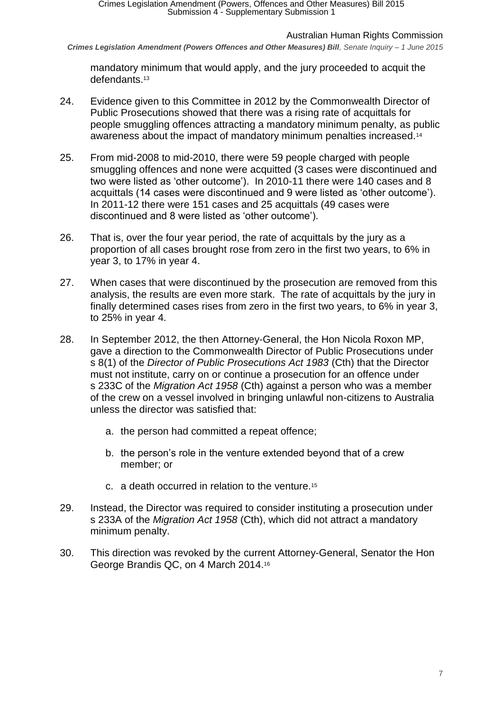*Crimes Legislation Amendment (Powers Offences and Other Measures) Bill, Senate Inquiry – 1 June 2015*

mandatory minimum that would apply, and the jury proceeded to acquit the defendants.<sup>13</sup>

- 24. Evidence given to this Committee in 2012 by the Commonwealth Director of Public Prosecutions showed that there was a rising rate of acquittals for people smuggling offences attracting a mandatory minimum penalty, as public awareness about the impact of mandatory minimum penalties increased.<sup>14</sup>
- 25. From mid-2008 to mid-2010, there were 59 people charged with people smuggling offences and none were acquitted (3 cases were discontinued and two were listed as 'other outcome'). In 2010-11 there were 140 cases and 8 acquittals (14 cases were discontinued and 9 were listed as 'other outcome'). In 2011-12 there were 151 cases and 25 acquittals (49 cases were discontinued and 8 were listed as 'other outcome').
- 26. That is, over the four year period, the rate of acquittals by the jury as a proportion of all cases brought rose from zero in the first two years, to 6% in year 3, to 17% in year 4.
- 27. When cases that were discontinued by the prosecution are removed from this analysis, the results are even more stark. The rate of acquittals by the jury in finally determined cases rises from zero in the first two years, to 6% in year 3, to 25% in year 4.
- 28. In September 2012, the then Attorney-General, the Hon Nicola Roxon MP, gave a direction to the Commonwealth Director of Public Prosecutions under s 8(1) of the *Director of Public Prosecutions Act 1983* (Cth) that the Director must not institute, carry on or continue a prosecution for an offence under s 233C of the *Migration Act 1958* (Cth) against a person who was a member of the crew on a vessel involved in bringing unlawful non-citizens to Australia unless the director was satisfied that:
	- a. the person had committed a repeat offence;
	- b. the person's role in the venture extended beyond that of a crew member; or
	- c. a death occurred in relation to the venture.<sup>15</sup>
- 29. Instead, the Director was required to consider instituting a prosecution under s 233A of the *Migration Act 1958* (Cth), which did not attract a mandatory minimum penalty.
- 30. This direction was revoked by the current Attorney-General, Senator the Hon George Brandis QC, on 4 March 2014.<sup>16</sup>